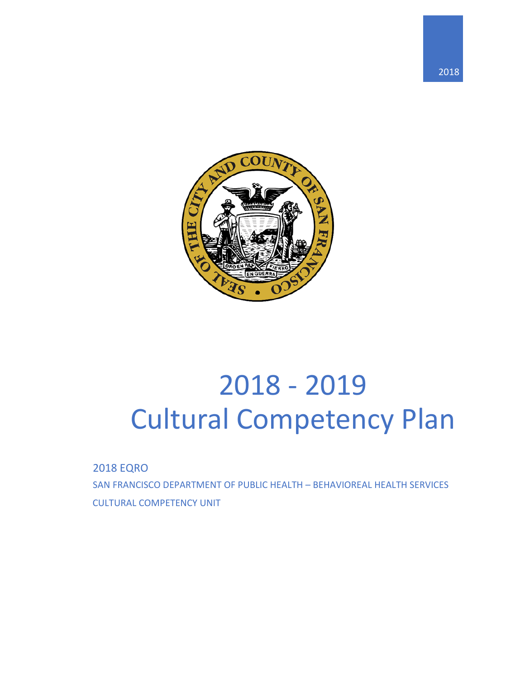



# 2018 - 2019 Cultural Competency Plan

2018 EQRO

SAN FRANCISCO DEPARTMENT OF PUBLIC HEALTH – BEHAVIOREAL HEALTH SERVICES CULTURAL COMPETENCY UNIT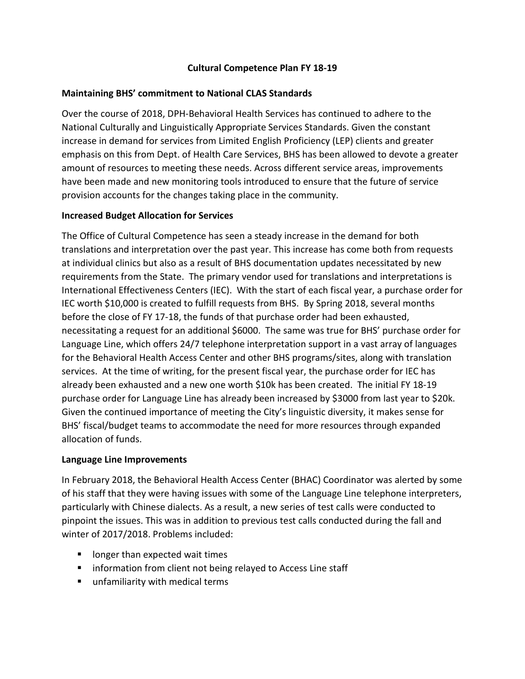### **Cultural Competence Plan FY 18-19**

### **Maintaining BHS' commitment to National CLAS Standards**

Over the course of 2018, DPH-Behavioral Health Services has continued to adhere to the National Culturally and Linguistically Appropriate Services Standards. Given the constant increase in demand for services from Limited English Proficiency (LEP) clients and greater emphasis on this from Dept. of Health Care Services, BHS has been allowed to devote a greater amount of resources to meeting these needs. Across different service areas, improvements have been made and new monitoring tools introduced to ensure that the future of service provision accounts for the changes taking place in the community.

### **Increased Budget Allocation for Services**

The Office of Cultural Competence has seen a steady increase in the demand for both translations and interpretation over the past year. This increase has come both from requests at individual clinics but also as a result of BHS documentation updates necessitated by new requirements from the State. The primary vendor used for translations and interpretations is International Effectiveness Centers (IEC). With the start of each fiscal year, a purchase order for IEC worth \$10,000 is created to fulfill requests from BHS. By Spring 2018, several months before the close of FY 17-18, the funds of that purchase order had been exhausted, necessitating a request for an additional \$6000. The same was true for BHS' purchase order for Language Line, which offers 24/7 telephone interpretation support in a vast array of languages for the Behavioral Health Access Center and other BHS programs/sites, along with translation services. At the time of writing, for the present fiscal year, the purchase order for IEC has already been exhausted and a new one worth \$10k has been created. The initial FY 18-19 purchase order for Language Line has already been increased by \$3000 from last year to \$20k. Given the continued importance of meeting the City's linguistic diversity, it makes sense for BHS' fiscal/budget teams to accommodate the need for more resources through expanded allocation of funds.

### **Language Line Improvements**

In February 2018, the Behavioral Health Access Center (BHAC) Coordinator was alerted by some of his staff that they were having issues with some of the Language Line telephone interpreters, particularly with Chinese dialects. As a result, a new series of test calls were conducted to pinpoint the issues. This was in addition to previous test calls conducted during the fall and winter of 2017/2018. Problems included:

- **If** longer than expected wait times
- **IF** information from client not being relayed to Access Line staff
- unfamiliarity with medical terms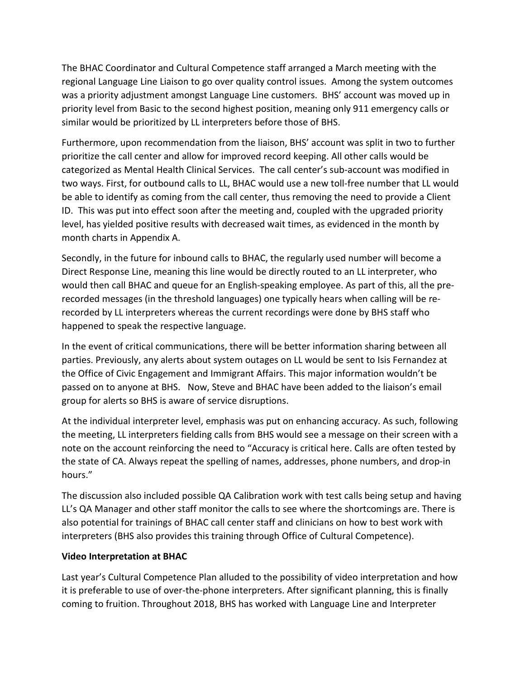The BHAC Coordinator and Cultural Competence staff arranged a March meeting with the regional Language Line Liaison to go over quality control issues. Among the system outcomes was a priority adjustment amongst Language Line customers. BHS' account was moved up in priority level from Basic to the second highest position, meaning only 911 emergency calls or similar would be prioritized by LL interpreters before those of BHS.

Furthermore, upon recommendation from the liaison, BHS' account was split in two to further prioritize the call center and allow for improved record keeping. All other calls would be categorized as Mental Health Clinical Services. The call center's sub-account was modified in two ways. First, for outbound calls to LL, BHAC would use a new toll-free number that LL would be able to identify as coming from the call center, thus removing the need to provide a Client ID. This was put into effect soon after the meeting and, coupled with the upgraded priority level, has yielded positive results with decreased wait times, as evidenced in the month by month charts in Appendix A.

Secondly, in the future for inbound calls to BHAC, the regularly used number will become a Direct Response Line, meaning this line would be directly routed to an LL interpreter, who would then call BHAC and queue for an English-speaking employee. As part of this, all the prerecorded messages (in the threshold languages) one typically hears when calling will be rerecorded by LL interpreters whereas the current recordings were done by BHS staff who happened to speak the respective language.

In the event of critical communications, there will be better information sharing between all parties. Previously, any alerts about system outages on LL would be sent to Isis Fernandez at the Office of Civic Engagement and Immigrant Affairs. This major information wouldn't be passed on to anyone at BHS. Now, Steve and BHAC have been added to the liaison's email group for alerts so BHS is aware of service disruptions.

At the individual interpreter level, emphasis was put on enhancing accuracy. As such, following the meeting, LL interpreters fielding calls from BHS would see a message on their screen with a note on the account reinforcing the need to "Accuracy is critical here. Calls are often tested by the state of CA. Always repeat the spelling of names, addresses, phone numbers, and drop-in hours."

The discussion also included possible QA Calibration work with test calls being setup and having LL's QA Manager and other staff monitor the calls to see where the shortcomings are. There is also potential for trainings of BHAC call center staff and clinicians on how to best work with interpreters (BHS also provides this training through Office of Cultural Competence).

### **Video Interpretation at BHAC**

Last year's Cultural Competence Plan alluded to the possibility of video interpretation and how it is preferable to use of over-the-phone interpreters. After significant planning, this is finally coming to fruition. Throughout 2018, BHS has worked with Language Line and Interpreter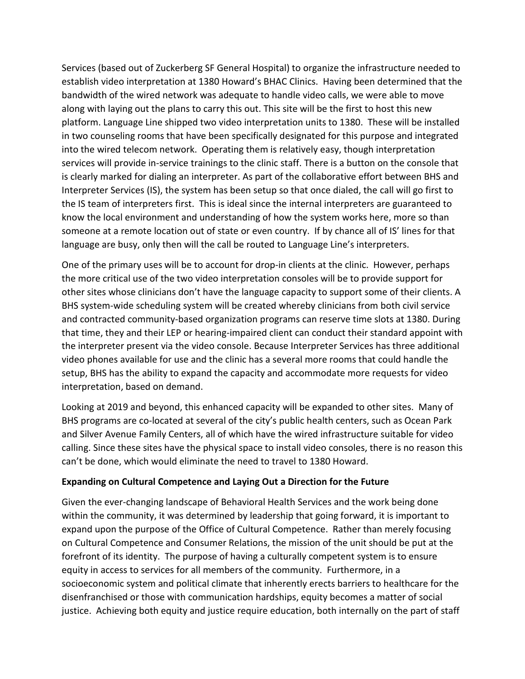Services (based out of Zuckerberg SF General Hospital) to organize the infrastructure needed to establish video interpretation at 1380 Howard's BHAC Clinics. Having been determined that the bandwidth of the wired network was adequate to handle video calls, we were able to move along with laying out the plans to carry this out. This site will be the first to host this new platform. Language Line shipped two video interpretation units to 1380. These will be installed in two counseling rooms that have been specifically designated for this purpose and integrated into the wired telecom network. Operating them is relatively easy, though interpretation services will provide in-service trainings to the clinic staff. There is a button on the console that is clearly marked for dialing an interpreter. As part of the collaborative effort between BHS and Interpreter Services (IS), the system has been setup so that once dialed, the call will go first to the IS team of interpreters first. This is ideal since the internal interpreters are guaranteed to know the local environment and understanding of how the system works here, more so than someone at a remote location out of state or even country. If by chance all of IS' lines for that language are busy, only then will the call be routed to Language Line's interpreters.

One of the primary uses will be to account for drop-in clients at the clinic. However, perhaps the more critical use of the two video interpretation consoles will be to provide support for other sites whose clinicians don't have the language capacity to support some of their clients. A BHS system-wide scheduling system will be created whereby clinicians from both civil service and contracted community-based organization programs can reserve time slots at 1380. During that time, they and their LEP or hearing-impaired client can conduct their standard appoint with the interpreter present via the video console. Because Interpreter Services has three additional video phones available for use and the clinic has a several more rooms that could handle the setup, BHS has the ability to expand the capacity and accommodate more requests for video interpretation, based on demand.

Looking at 2019 and beyond, this enhanced capacity will be expanded to other sites. Many of BHS programs are co-located at several of the city's public health centers, such as Ocean Park and Silver Avenue Family Centers, all of which have the wired infrastructure suitable for video calling. Since these sites have the physical space to install video consoles, there is no reason this can't be done, which would eliminate the need to travel to 1380 Howard.

### **Expanding on Cultural Competence and Laying Out a Direction for the Future**

Given the ever-changing landscape of Behavioral Health Services and the work being done within the community, it was determined by leadership that going forward, it is important to expand upon the purpose of the Office of Cultural Competence. Rather than merely focusing on Cultural Competence and Consumer Relations, the mission of the unit should be put at the forefront of its identity. The purpose of having a culturally competent system is to ensure equity in access to services for all members of the community. Furthermore, in a socioeconomic system and political climate that inherently erects barriers to healthcare for the disenfranchised or those with communication hardships, equity becomes a matter of social justice. Achieving both equity and justice require education, both internally on the part of staff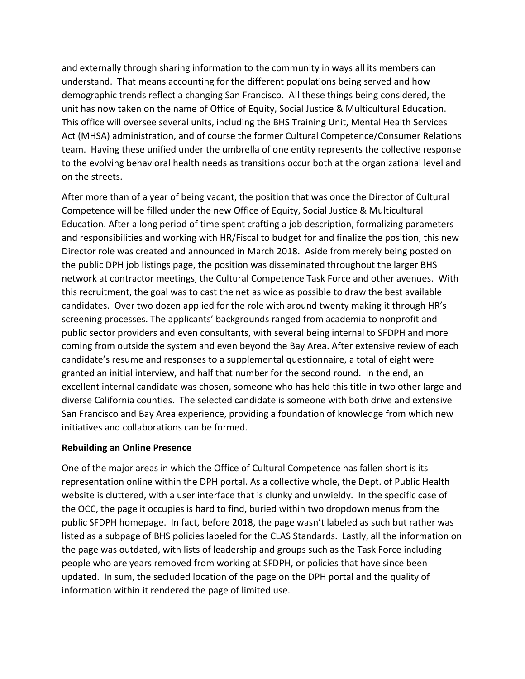and externally through sharing information to the community in ways all its members can understand. That means accounting for the different populations being served and how demographic trends reflect a changing San Francisco. All these things being considered, the unit has now taken on the name of Office of Equity, Social Justice & Multicultural Education. This office will oversee several units, including the BHS Training Unit, Mental Health Services Act (MHSA) administration, and of course the former Cultural Competence/Consumer Relations team. Having these unified under the umbrella of one entity represents the collective response to the evolving behavioral health needs as transitions occur both at the organizational level and on the streets.

After more than of a year of being vacant, the position that was once the Director of Cultural Competence will be filled under the new Office of Equity, Social Justice & Multicultural Education. After a long period of time spent crafting a job description, formalizing parameters and responsibilities and working with HR/Fiscal to budget for and finalize the position, this new Director role was created and announced in March 2018. Aside from merely being posted on the public DPH job listings page, the position was disseminated throughout the larger BHS network at contractor meetings, the Cultural Competence Task Force and other avenues. With this recruitment, the goal was to cast the net as wide as possible to draw the best available candidates. Over two dozen applied for the role with around twenty making it through HR's screening processes. The applicants' backgrounds ranged from academia to nonprofit and public sector providers and even consultants, with several being internal to SFDPH and more coming from outside the system and even beyond the Bay Area. After extensive review of each candidate's resume and responses to a supplemental questionnaire, a total of eight were granted an initial interview, and half that number for the second round. In the end, an excellent internal candidate was chosen, someone who has held this title in two other large and diverse California counties. The selected candidate is someone with both drive and extensive San Francisco and Bay Area experience, providing a foundation of knowledge from which new initiatives and collaborations can be formed.

### **Rebuilding an Online Presence**

One of the major areas in which the Office of Cultural Competence has fallen short is its representation online within the DPH portal. As a collective whole, the Dept. of Public Health website is cluttered, with a user interface that is clunky and unwieldy. In the specific case of the OCC, the page it occupies is hard to find, buried within two dropdown menus from the public SFDPH homepage. In fact, before 2018, the page wasn't labeled as such but rather was listed as a subpage of BHS policies labeled for the CLAS Standards. Lastly, all the information on the page was outdated, with lists of leadership and groups such as the Task Force including people who are years removed from working at SFDPH, or policies that have since been updated. In sum, the secluded location of the page on the DPH portal and the quality of information within it rendered the page of limited use.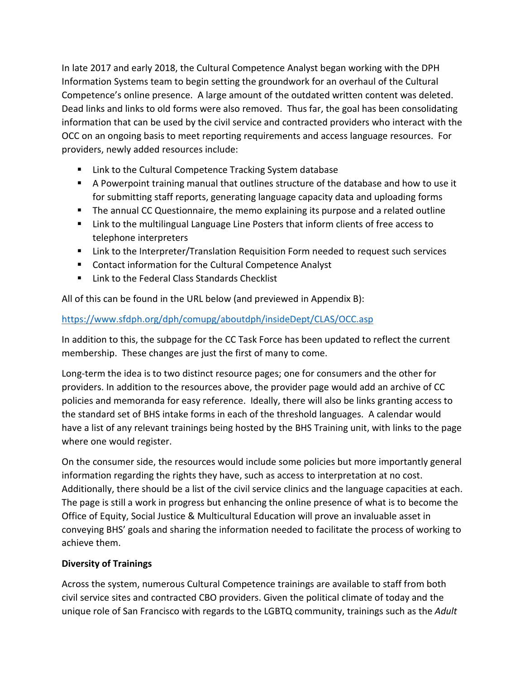In late 2017 and early 2018, the Cultural Competence Analyst began working with the DPH Information Systems team to begin setting the groundwork for an overhaul of the Cultural Competence's online presence. A large amount of the outdated written content was deleted. Dead links and links to old forms were also removed. Thus far, the goal has been consolidating information that can be used by the civil service and contracted providers who interact with the OCC on an ongoing basis to meet reporting requirements and access language resources. For providers, newly added resources include:

- Link to the Cultural Competence Tracking System database
- A Powerpoint training manual that outlines structure of the database and how to use it for submitting staff reports, generating language capacity data and uploading forms
- The annual CC Questionnaire, the memo explaining its purpose and a related outline
- **EXECT** Link to the multilingual Language Line Posters that inform clients of free access to telephone interpreters
- **EXTED 11** Link to the Interpreter/Translation Requisition Form needed to request such services
- Contact information for the Cultural Competence Analyst
- **E** Link to the Federal Class Standards Checklist

All of this can be found in the URL below (and previewed in Appendix B):

## <https://www.sfdph.org/dph/comupg/aboutdph/insideDept/CLAS/OCC.asp>

In addition to this, the subpage for the CC Task Force has been updated to reflect the current membership. These changes are just the first of many to come.

Long-term the idea is to two distinct resource pages; one for consumers and the other for providers. In addition to the resources above, the provider page would add an archive of CC policies and memoranda for easy reference. Ideally, there will also be links granting access to the standard set of BHS intake forms in each of the threshold languages. A calendar would have a list of any relevant trainings being hosted by the BHS Training unit, with links to the page where one would register.

On the consumer side, the resources would include some policies but more importantly general information regarding the rights they have, such as access to interpretation at no cost. Additionally, there should be a list of the civil service clinics and the language capacities at each. The page is still a work in progress but enhancing the online presence of what is to become the Office of Equity, Social Justice & Multicultural Education will prove an invaluable asset in conveying BHS' goals and sharing the information needed to facilitate the process of working to achieve them.

### **Diversity of Trainings**

Across the system, numerous Cultural Competence trainings are available to staff from both civil service sites and contracted CBO providers. Given the political climate of today and the unique role of San Francisco with regards to the LGBTQ community, trainings such as the *Adult*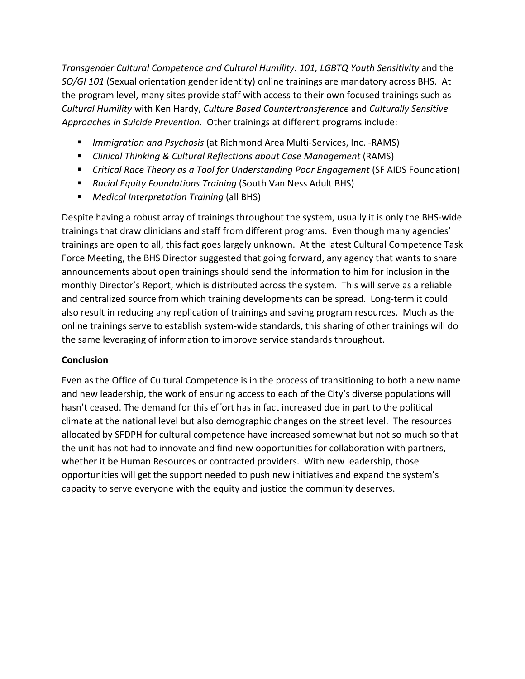*Transgender Cultural Competence and Cultural Humility: 101, LGBTQ Youth Sensitivity* and the *SO/GI 101* (Sexual orientation gender identity) online trainings are mandatory across BHS. At the program level, many sites provide staff with access to their own focused trainings such as *Cultural Humility* with Ken Hardy, *Culture Based Countertransference* and *Culturally Sensitive Approaches in Suicide Prevention*. Other trainings at different programs include:

- *Immigration and Psychosis* (at Richmond Area Multi-Services, Inc. -RAMS)
- *Clinical Thinking & Cultural Reflections about Case Management* (RAMS)
- *Critical Race Theory as a Tool for Understanding Poor Engagement* (SF AIDS Foundation)
- *Racial Equity Foundations Training* (South Van Ness Adult BHS)
- *Medical Interpretation Training* (all BHS)

Despite having a robust array of trainings throughout the system, usually it is only the BHS-wide trainings that draw clinicians and staff from different programs. Even though many agencies' trainings are open to all, this fact goes largely unknown. At the latest Cultural Competence Task Force Meeting, the BHS Director suggested that going forward, any agency that wants to share announcements about open trainings should send the information to him for inclusion in the monthly Director's Report, which is distributed across the system. This will serve as a reliable and centralized source from which training developments can be spread. Long-term it could also result in reducing any replication of trainings and saving program resources. Much as the online trainings serve to establish system-wide standards, this sharing of other trainings will do the same leveraging of information to improve service standards throughout.

### **Conclusion**

Even as the Office of Cultural Competence is in the process of transitioning to both a new name and new leadership, the work of ensuring access to each of the City's diverse populations will hasn't ceased. The demand for this effort has in fact increased due in part to the political climate at the national level but also demographic changes on the street level. The resources allocated by SFDPH for cultural competence have increased somewhat but not so much so that the unit has not had to innovate and find new opportunities for collaboration with partners, whether it be Human Resources or contracted providers. With new leadership, those opportunities will get the support needed to push new initiatives and expand the system's capacity to serve everyone with the equity and justice the community deserves.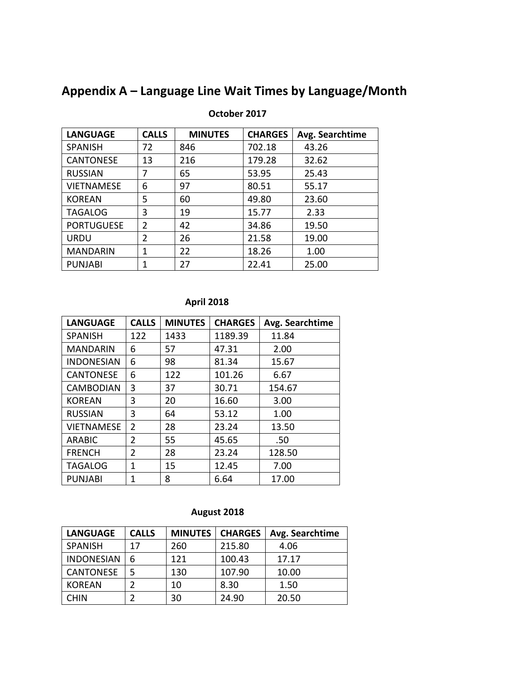# **Appendix A – Language Line Wait Times by Language/Month**

| <b>LANGUAGE</b>   | <b>CALLS</b>   | <b>MINUTES</b> | <b>CHARGES</b> | Avg. Searchtime |
|-------------------|----------------|----------------|----------------|-----------------|
| <b>SPANISH</b>    | 72             | 846            | 702.18         | 43.26           |
| <b>CANTONESE</b>  | 13             | 216            | 179.28         | 32.62           |
| <b>RUSSIAN</b>    | 7              | 65             | 53.95          | 25.43           |
| <b>VIETNAMESE</b> | 6              | 97             | 80.51          | 55.17           |
| <b>KOREAN</b>     | 5              | 60             | 49.80          | 23.60           |
| <b>TAGALOG</b>    | 3              | 19             | 15.77          | 2.33            |
| <b>PORTUGUESE</b> | $\overline{2}$ | 42             | 34.86          | 19.50           |
| <b>URDU</b>       | $\overline{2}$ | 26             | 21.58          | 19.00           |
| <b>MANDARIN</b>   | 1              | 22             | 18.26          | 1.00            |
| <b>PUNJABI</b>    | 1              | 27             | 22.41          | 25.00           |

### **October 2017**

### **April 2018**

| <b>LANGUAGE</b>   | <b>CALLS</b>   | <b>MINUTES</b> | <b>CHARGES</b> | Avg. Searchtime |
|-------------------|----------------|----------------|----------------|-----------------|
| <b>SPANISH</b>    | 122            | 1433           | 1189.39        | 11.84           |
| <b>MANDARIN</b>   | 6              | 57             | 47.31          | 2.00            |
| <b>INDONESIAN</b> | 6              | 98             | 81.34          | 15.67           |
| <b>CANTONESE</b>  | 6              | 122            | 101.26         | 6.67            |
| <b>CAMBODIAN</b>  | 3              | 37             | 30.71          | 154.67          |
| <b>KOREAN</b>     | 3              | 20             | 16.60          | 3.00            |
| <b>RUSSIAN</b>    | 3              | 64             | 53.12          | 1.00            |
| <b>VIETNAMESE</b> | 2              | 28             | 23.24          | 13.50           |
| <b>ARABIC</b>     | $\mathfrak z$  | 55             | 45.65          | .50             |
| <b>FRENCH</b>     | $\overline{2}$ | 28             | 23.24          | 128.50          |
| <b>TAGALOG</b>    | 1              | 15             | 12.45          | 7.00            |
| <b>PUNJABI</b>    | 1              | 8              | 6.64           | 17.00           |

## **August 2018**

| <b>LANGUAGE</b>   | <b>CALLS</b> | <b>MINUTES</b> | <b>CHARGES</b> | Avg. Searchtime |
|-------------------|--------------|----------------|----------------|-----------------|
| <b>SPANISH</b>    | 17           | 260            | 215.80         | 4.06            |
| <b>INDONESIAN</b> | 6            | 121            | 100.43         | 17.17           |
| <b>CANTONESE</b>  | 5            | 130            | 107.90         | 10.00           |
| <b>KOREAN</b>     |              | 10             | 8.30           | 1.50            |
| <b>CHIN</b>       |              | 30             | 24.90          | 20.50           |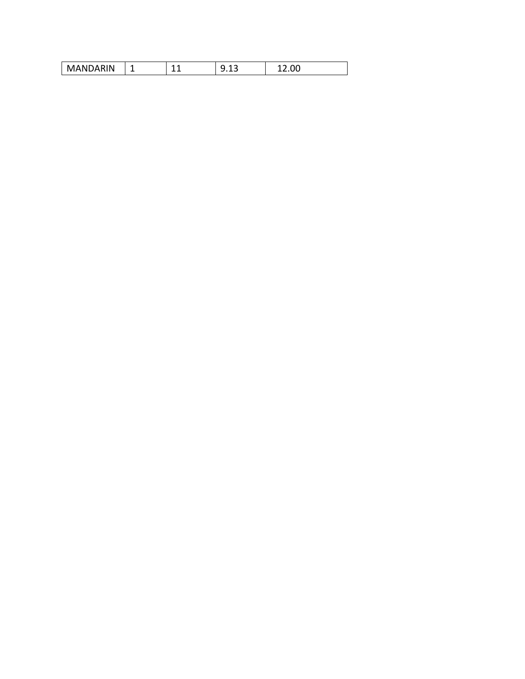| i Ni | $\overline{\phantom{0}}$ | $\sim$ | . . |  |
|------|--------------------------|--------|-----|--|
|------|--------------------------|--------|-----|--|